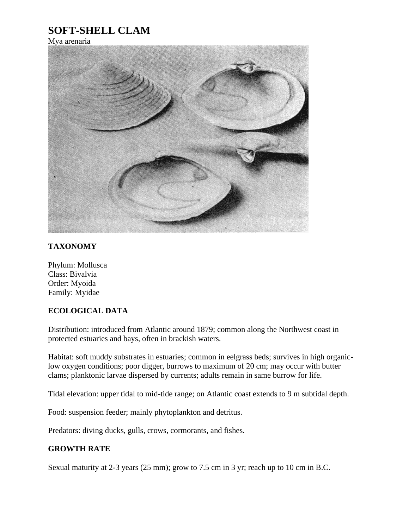## **SOFT-SHELL CLAM**

Mya arenaria



## **TAXONOMY**

Phylum: Mollusca Class: Bivalvia Order: Myoida Family: Myidae

## **ECOLOGICAL DATA**

Distribution: introduced from Atlantic around 1879; common along the Northwest coast in protected estuaries and bays, often in brackish waters.

Habitat: soft muddy substrates in estuaries; common in eelgrass beds; survives in high organiclow oxygen conditions; poor digger, burrows to maximum of 20 cm; may occur with butter clams; planktonic larvae dispersed by currents; adults remain in same burrow for life.

Tidal elevation: upper tidal to mid-tide range; on Atlantic coast extends to 9 m subtidal depth.

Food: suspension feeder; mainly phytoplankton and detritus.

Predators: diving ducks, gulls, crows, cormorants, and fishes.

## **GROWTH RATE**

Sexual maturity at 2-3 years (25 mm); grow to 7.5 cm in 3 yr; reach up to 10 cm in B.C.